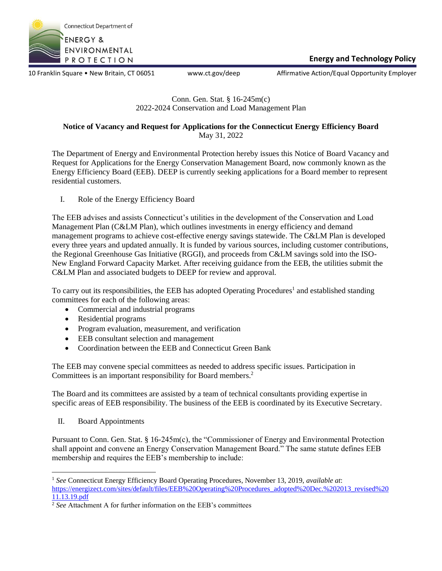

10 Franklin Square • New Britain, CT 06051 www.ct.gov/deep Affirmative Action/Equal Opportunity Employer

# Conn. Gen. Stat. § 16-245m(c) 2022-2024 Conservation and Load Management Plan

# **Notice of Vacancy and Request for Applications for the Connecticut Energy Efficiency Board** May 31, 2022

The Department of Energy and Environmental Protection hereby issues this Notice of Board Vacancy and Request for Applications for the Energy Conservation Management Board, now commonly known as the Energy Efficiency Board (EEB). DEEP is currently seeking applications for a Board member to represent residential customers.

I. Role of the Energy Efficiency Board

The EEB advises and assists Connecticut's utilities in the development of the Conservation and Load Management Plan (C&LM Plan), which outlines investments in energy efficiency and demand management programs to achieve cost-effective energy savings statewide. The C&LM Plan is developed every three years and updated annually. It is funded by various sources, including customer contributions, the Regional Greenhouse Gas Initiative (RGGI), and proceeds from C&LM savings sold into the ISO-New England Forward Capacity Market. After receiving guidance from the EEB, the utilities submit the C&LM Plan and associated budgets to DEEP for review and approval.

To carry out its responsibilities, the EEB has adopted Operating Procedures<sup>1</sup> and established standing committees for each of the following areas:

- Commercial and industrial programs
- Residential programs
- Program evaluation, measurement, and verification
- EEB consultant selection and management
- Coordination between the EEB and Connecticut Green Bank

The EEB may convene special committees as needed to address specific issues. Participation in Committees is an important responsibility for Board members.<sup>2</sup>

The Board and its committees are assisted by a team of technical consultants providing expertise in specific areas of EEB responsibility. The business of the EEB is coordinated by its Executive Secretary.

II. Board Appointments

Pursuant to Conn. Gen. Stat. § 16-245m(c), the "Commissioner of Energy and Environmental Protection shall appoint and convene an Energy Conservation Management Board." The same statute defines EEB membership and requires the EEB's membership to include:

<sup>1</sup> *See* Connecticut Energy Efficiency Board Operating Procedures, November 13, 2019, *available at*: [https://energizect.com/sites/default/files/EEB%20Operating%20Procedures\\_adopted%20Dec.%202013\\_revised%20](https://energizect.com/sites/default/files/EEB%20Operating%20Procedures_adopted%20Dec.%202013_revised%2011.13.19.pdf) [11.13.19.pdf](https://energizect.com/sites/default/files/EEB%20Operating%20Procedures_adopted%20Dec.%202013_revised%2011.13.19.pdf)

<sup>&</sup>lt;sup>2</sup> See Attachment A for further information on the EEB's committees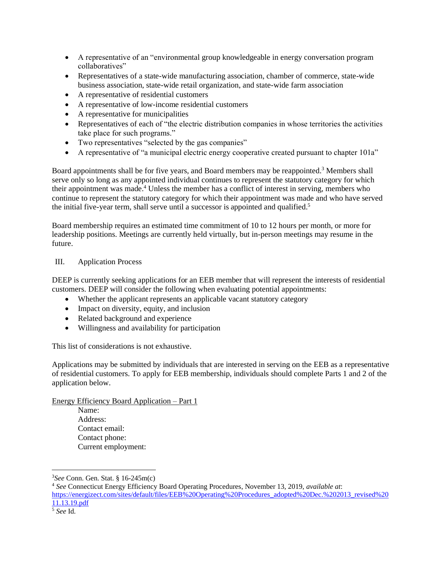- A representative of an "environmental group knowledgeable in energy conversation program collaboratives"
- Representatives of a state-wide manufacturing association, chamber of commerce, state-wide business association, state-wide retail organization, and state-wide farm association
- A representative of residential customers
- A representative of low-income residential customers
- A representative for municipalities
- Representatives of each of "the electric distribution companies in whose territories the activities take place for such programs."
- Two representatives "selected by the gas companies"
- A representative of "a municipal electric energy cooperative created pursuant to chapter 101a"

Board appointments shall be for five years, and Board members may be reappointed.<sup>3</sup> Members shall serve only so long as any appointed individual continues to represent the statutory category for which their appointment was made.<sup>4</sup> Unless the member has a conflict of interest in serving, members who continue to represent the statutory category for which their appointment was made and who have served the initial five-year term, shall serve until a successor is appointed and qualified.<sup>5</sup>

Board membership requires an estimated time commitment of 10 to 12 hours per month, or more for leadership positions. Meetings are currently held virtually, but in-person meetings may resume in the future.

# III. Application Process

DEEP is currently seeking applications for an EEB member that will represent the interests of residential customers. DEEP will consider the following when evaluating potential appointments:

- Whether the applicant represents an applicable vacant statutory category
- Impact on diversity, equity, and inclusion
- Related background and experience
- Willingness and availability for participation

This list of considerations is not exhaustive.

Applications may be submitted by individuals that are interested in serving on the EEB as a representative of residential customers. To apply for EEB membership, individuals should complete Parts 1 and 2 of the application below.

Energy Efficiency Board Application – Part 1

Name: Address: Contact email: Contact phone: Current employment:

<sup>3</sup>*See* Conn. Gen. Stat. § 16-245m(c)

<sup>4</sup> *See* Connecticut Energy Efficiency Board Operating Procedures, November 13, 2019, *available at*: [https://energizect.com/sites/default/files/EEB%20Operating%20Procedures\\_adopted%20Dec.%202013\\_revised%20](https://energizect.com/sites/default/files/EEB%20Operating%20Procedures_adopted%20Dec.%202013_revised%2011.13.19.pdf) [11.13.19.pdf](https://energizect.com/sites/default/files/EEB%20Operating%20Procedures_adopted%20Dec.%202013_revised%2011.13.19.pdf)

<sup>5</sup> *See* Id.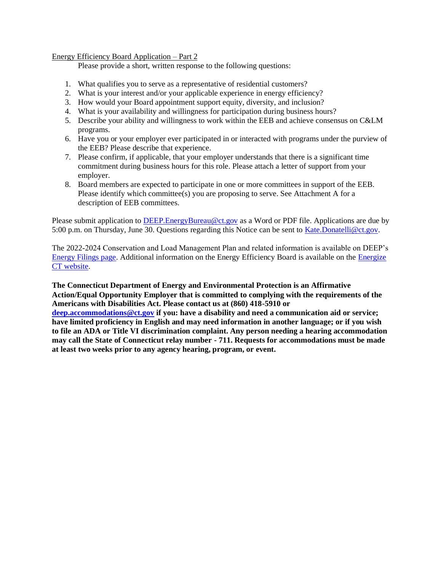## Energy Efficiency Board Application – Part 2

Please provide a short, written response to the following questions:

- 1. What qualifies you to serve as a representative of residential customers?
- 2. What is your interest and/or your applicable experience in energy efficiency?
- 3. How would your Board appointment support equity, diversity, and inclusion?
- 4. What is your availability and willingness for participation during business hours?
- 5. Describe your ability and willingness to work within the EEB and achieve consensus on C&LM programs.
- 6. Have you or your employer ever participated in or interacted with programs under the purview of the EEB? Please describe that experience.
- 7. Please confirm, if applicable, that your employer understands that there is a significant time commitment during business hours for this role. Please attach a letter of support from your employer.
- 8. Board members are expected to participate in one or more committees in support of the EEB. Please identify which committee(s) you are proposing to serve. See Attachment A for a description of EEB committees.

Please submit application to DEEP. Energy Bureau @ct.gov as a Word or PDF file. Applications are due by 5:00 p.m. on Thursday, June 30. Questions regarding this Notice can be sent to [Kate.Donatelli@ct.gov.](mailto:Kate.Donatelli@ct.gov)

The 2022-2024 Conservation and Load Management Plan and related information is available on DEEP's [Energy Filings page.](http://www.dpuc.state.ct.us/DEEPEnergy.nsf/c6c6d525f7cdd1168525797d0047c5bf/cf59b4f99ec97597852587fb00021000?OpenDocument) Additional information on the Energy Efficiency Board is available on th[e Energize](https://energizect.com/connecticut-energy-efficiency-board/statewide-energy-efficiency-dashboard)  [CT website.](https://energizect.com/connecticut-energy-efficiency-board/statewide-energy-efficiency-dashboard)

**The Connecticut Department of Energy and Environmental Protection is an Affirmative Action/Equal Opportunity Employer that is committed to complying with the requirements of the Americans with Disabilities Act. Please contact us at (860) 418-5910 or** 

**[deep.accommodations@ct.gov](mailto:deep.accommodations@ct.gov) if you: have a disability and need a communication aid or service; have limited proficiency in English and may need information in another language; or if you wish to file an ADA or Title VI discrimination complaint. Any person needing a hearing accommodation may call the State of Connecticut relay number - 711. Requests for accommodations must be made at least two weeks prior to any agency hearing, program, or event.**